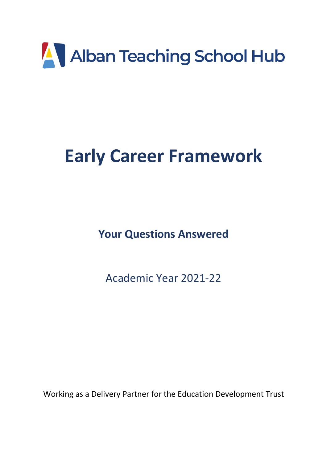

# **Early Career Framework**

**Your Questions Answered**

Academic Year 2021-22

Working as a Delivery Partner for the Education Development Trust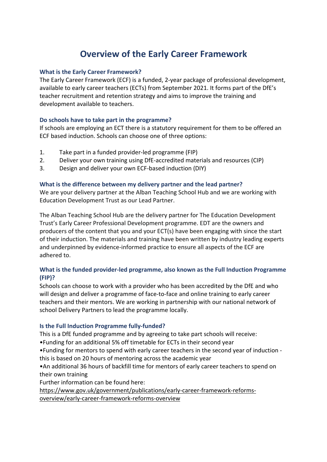# **Overview of the Early Career Framework**

# **What is the Early Career Framework?**

The Early Career Framework (ECF) is a funded, 2-year package of professional development, available to early career teachers (ECTs) from September 2021. It forms part of the DfE's teacher recruitment and retention strategy and aims to improve the training and development available to teachers.

# **Do schools have to take part in the programme?**

If schools are employing an ECT there is a statutory requirement for them to be offered an ECF based induction. Schools can choose one of three options:

- 1. Take part in a funded provider-led programme (FIP)
- 2. Deliver your own training using DfE-accredited materials and resources (CIP)
- 3. Design and deliver your own ECF-based induction (DIY)

# **What is the difference between my delivery partner and the lead partner?**

We are your delivery partner at the Alban Teaching School Hub and we are working with Education Development Trust as our Lead Partner.

The Alban Teaching School Hub are the delivery partner for The Education Development Trust's Early Career Professional Development programme. EDT are the owners and producers of the content that you and your ECT(s) have been engaging with since the start of their induction. The materials and training have been written by industry leading experts and underpinned by evidence-informed practice to ensure all aspects of the ECF are adhered to.

# **What is the funded provider-led programme, also known as the Full Induction Programme (FIP)?**

Schools can choose to work with a provider who has been accredited by the DfE and who will design and deliver a programme of face-to-face and online training to early career teachers and their mentors. We are working in partnership with our national network of school Delivery Partners to lead the programme locally.

### **Is the Full Induction Programme fully-funded?**

This is a DfE funded programme and by agreeing to take part schools will receive:

•Funding for an additional 5% off timetable for ECTs in their second year

•Funding for mentors to spend with early career teachers in the second year of induction this is based on 20 hours of mentoring across the academic year

•An additional 36 hours of backfill time for mentors of early career teachers to spend on their own training

Further information can be found here:

https://www.gov.uk/government/publications/early-career-framework-reformsoverview/early-career-framework-reforms-overview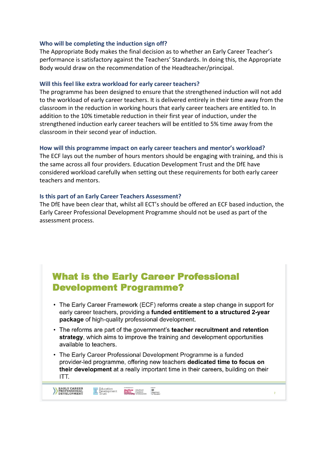#### **Who will be completing the induction sign off?**

The Appropriate Body makes the final decision as to whether an Early Career Teacher's performance is satisfactory against the Teachers' Standards. In doing this, the Appropriate Body would draw on the recommendation of the Headteacher/principal.

#### **Will this feel like extra workload for early career teachers?**

The programme has been designed to ensure that the strengthened induction will not add to the workload of early career teachers. It is delivered entirely in their time away from the classroom in the reduction in working hours that early career teachers are entitled to. In addition to the 10% timetable reduction in their first year of induction, under the strengthened induction early career teachers will be entitled to 5% time away from the classroom in their second year of induction.

#### **How will this programme impact on early career teachers and mentor's workload?**

The ECF lays out the number of hours mentors should be engaging with training, and this is the same across all four providers. Education Development Trust and the DfE have considered workload carefully when setting out these requirements for both early career teachers and mentors.

#### **Is this part of an Early Career Teachers Assessment?**

EARLY CAREER<br>PROFESSIONAL<br>DEVELOPMENT

Education<br>Revelopment

The DfE have been clear that, whilst all ECT's should be offered an ECF based induction, the Early Career Professional Development Programme should not be used as part of the assessment process.

# **What is the Early Career Professional Development Programme?**

- The Early Career Framework (ECF) reforms create a step change in support for early career teachers, providing a funded entitlement to a structured 2-year package of high-quality professional development.
- The reforms are part of the government's teacher recruitment and retention strategy, which aims to improve the training and development opportunities available to teachers.
- The Early Career Professional Development Programme is a funded provider-led programme, offering new teachers dedicated time to focus on their development at a really important time in their careers, building on their ITT.

Sheffield Sheffield **and**<br> **Hallam** Institute Department<br> **University** of Education for Education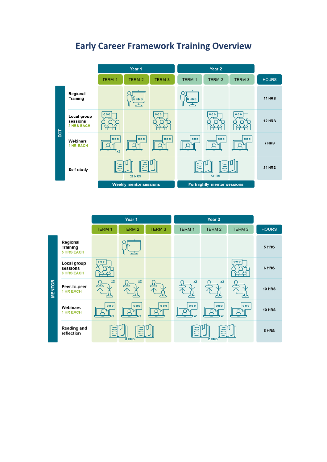

# **Early Career Framework Training Overview**

|               | Year 1                                           |              |               | Year <sub>2</sub> |               |               |              |               |
|---------------|--------------------------------------------------|--------------|---------------|-------------------|---------------|---------------|--------------|---------------|
|               |                                                  | <b>TERM1</b> | <b>TERM 2</b> | <b>TERM3</b>      | <b>TERM 1</b> | <b>TERM 2</b> | <b>TERM3</b> | <b>HOURS</b>  |
| <b>MENTOR</b> | Regional<br><b>Training</b><br><b>5 HRS EACH</b> |              |               |                   |               |               |              | 5 HRS         |
|               | Local group<br>sessions<br><b>3 HRS EACH</b>     | 000          |               |                   |               |               | 000          | 6 HRS         |
|               | Peer-to-peer<br><b>1 HR EACH</b>                 | x2           | x2            |                   | x2            | x2            |              | <b>10 HRS</b> |
|               | Webinars<br><b>1 HR EACH</b>                     | 000          | 000           | 000               | 000           | 000           | 000          | <b>10 HRS</b> |
|               | <b>Reading and</b><br>reflection                 | $3$ HRS      |               |                   | 2 HRS         |               |              | 5 HRS         |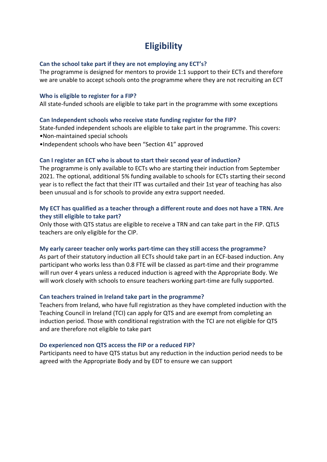# **Eligibility**

# **Can the school take part if they are not employing any ECT's?**

The programme is designed for mentors to provide 1:1 support to their ECTs and therefore we are unable to accept schools onto the programme where they are not recruiting an ECT

### **Who is eligible to register for a FIP?**

All state-funded schools are eligible to take part in the programme with some exceptions

### **Can Independent schools who receive state funding register for the FIP?**

State-funded independent schools are eligible to take part in the programme. This covers: •Non-maintained special schools

•Independent schools who have been "Section 41" approved

# **Can I register an ECT who is about to start their second year of induction?**

The programme is only available to ECTs who are starting their induction from September 2021. The optional, additional 5% funding available to schools for ECTs starting their second year is to reflect the fact that their ITT was curtailed and their 1st year of teaching has also been unusual and is for schools to provide any extra support needed.

# **My ECT has qualified as a teacher through a different route and does not have a TRN. Are they still eligible to take part?**

Only those with QTS status are eligible to receive a TRN and can take part in the FIP. QTLS teachers are only eligible for the CIP.

### **My early career teacher only works part-time can they still access the programme?**

As part of their statutory induction all ECTs should take part in an ECF-based induction. Any participant who works less than 0.8 FTE will be classed as part-time and their programme will run over 4 years unless a reduced induction is agreed with the Appropriate Body. We will work closely with schools to ensure teachers working part-time are fully supported.

### **Can teachers trained in Ireland take part in the programme?**

Teachers from Ireland, who have full registration as they have completed induction with the Teaching Council in Ireland (TCI) can apply for QTS and are exempt from completing an induction period. Those with conditional registration with the TCI are not eligible for QTS and are therefore not eligible to take part

### **Do experienced non QTS access the FIP or a reduced FIP?**

Participants need to have QTS status but any reduction in the induction period needs to be agreed with the Appropriate Body and by EDT to ensure we can support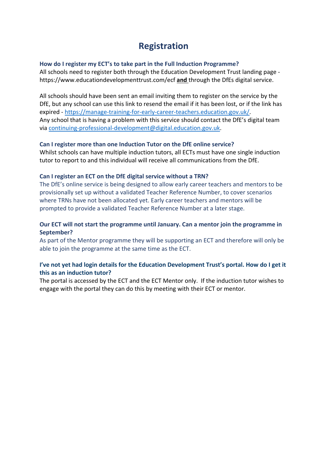# **Registration**

# **How do I register my ECT's to take part in the Full Induction Programme?**

All schools need to register both through the Education Development Trust landing page https://www.educationdevelopmenttrust.com/ecf **and** through the DfEs digital service.

All schools should have been sent an email inviting them to register on the service by the DfE, but any school can use this link to resend the email if it has been lost, or if the link has expired - https://manage-training-for-early-career-teachers.education.gov.uk/. Any school that is having a problem with this service should contact the DfE's digital team via continuing-professional-development@digital.education.gov.uk.

# **Can I register more than one Induction Tutor on the DfE online service?**

Whilst schools can have multiple induction tutors, all ECTs must have one single induction tutor to report to and this individual will receive all communications from the DfE.

# **Can I register an ECT on the DfE digital service without a TRN?**

The DfE's online service is being designed to allow early career teachers and mentors to be provisionally set up without a validated Teacher Reference Number, to cover scenarios where TRNs have not been allocated yet. Early career teachers and mentors will be prompted to provide a validated Teacher Reference Number at a later stage.

# **Our ECT will not start the programme until January. Can a mentor join the programme in September?**

As part of the Mentor programme they will be supporting an ECT and therefore will only be able to join the programme at the same time as the ECT.

# **I've not yet had login details for the Education Development Trust's portal. How do I get it this as an induction tutor?**

The portal is accessed by the ECT and the ECT Mentor only. If the induction tutor wishes to engage with the portal they can do this by meeting with their ECT or mentor.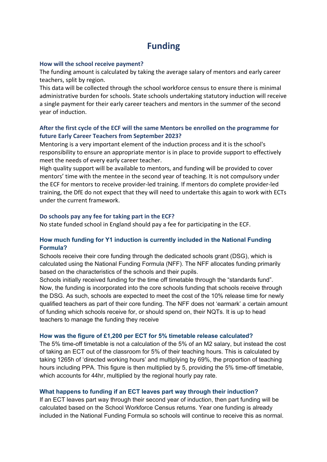# **Funding**

### **How will the school receive payment?**

The funding amount is calculated by taking the average salary of mentors and early career teachers, split by region.

This data will be collected through the school workforce census to ensure there is minimal administrative burden for schools. State schools undertaking statutory induction will receive a single payment for their early career teachers and mentors in the summer of the second year of induction.

# **After the first cycle of the ECF will the same Mentors be enrolled on the programme for future Early Career Teachers from September 2023?**

Mentoring is a very important element of the induction process and it is the school's responsibility to ensure an appropriate mentor is in place to provide support to effectively meet the needs of every early career teacher.

High quality support will be available to mentors, and funding will be provided to cover mentors' time with the mentee in the second year of teaching. It is not compulsory under the ECF for mentors to receive provider-led training. If mentors do complete provider-led training, the DfE do not expect that they will need to undertake this again to work with ECTs under the current framework.

### **Do schools pay any fee for taking part in the ECF?**

No state funded school in England should pay a fee for participating in the ECF.

# **How much funding for Y1 induction is currently included in the National Funding Formula?**

Schools receive their core funding through the dedicated schools grant (DSG), which is calculated using the National Funding Formula (NFF). The NFF allocates funding primarily based on the characteristics of the schools and their pupils.

Schools initially received funding for the time off timetable through the "standards fund". Now, the funding is incorporated into the core schools funding that schools receive through the DSG. As such, schools are expected to meet the cost of the 10% release time for newly qualified teachers as part of their core funding. The NFF does not 'earmark' a certain amount of funding which schools receive for, or should spend on, their NQTs. It is up to head teachers to manage the funding they receive

### **How was the figure of £1,200 per ECT for 5% timetable release calculated?**

The 5% time-off timetable is not a calculation of the 5% of an M2 salary, but instead the cost of taking an ECT out of the classroom for 5% of their teaching hours. This is calculated by taking 1265h of 'directed working hours' and multiplying by 69%, the proportion of teaching hours including PPA. This figure is then multiplied by 5, providing the 5% time-off timetable, which accounts for 44hr, multiplied by the regional hourly pay rate.

### **What happens to funding if an ECT leaves part way through their induction?**

If an ECT leaves part way through their second year of induction, then part funding will be calculated based on the School Workforce Census returns. Year one funding is already included in the National Funding Formula so schools will continue to receive this as normal.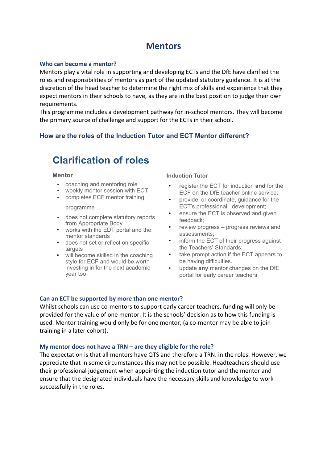# **Mentors**

#### **Who can become a mentor?**

Mentors play a vital role in supporting and developing ECTs and the DfE have clarified the roles and responsibilities of mentors as part of the updated statutory guidance. It is at the discretion of the head teacher to determine the right mix of skills and experience that they expect mentors in their schools to have, as they are in the best position to judge their own requirements.

This programme includes a development pathway for in-school mentors. They will become the primary source of challenge and support for the ECTs in their school.

# **How are the roles of the Induction Tutor and ECT Mentor different?**

# **Clarification of roles**

#### **Mentor**

- coaching and mentoring role
- weekly mentor session with ECT
- completes ECF mentor training

#### programme

- does not complete statutory reports from Appropriate Body
- works with the EDT portal and the mentor standards
- does not set or reflect on specific targets
- will become skilled in the coaching style for ECF and would be worth investing in for the next academic vear too

#### **Induction Tutor**

- register the ECT for induction and for the ECF on the DfE teacher online service:
- provide, or coordinate, guidance for the ECT's professional development:
- ensure the ECT is observed and given feedback:
- review progress progress reviews and assessments:
- inform the ECT of their progress against the Teachers' Standards;
- take prompt action if the ECT appears to be having difficulties.
- update any mentor changes on the DfE portal for early career teachers

### **Can an ECT be supported by more than one mentor?**

Whilst schools can use co-mentors to support early career teachers, funding will only be provided for the value of one mentor. It is the schools' decision as to how this funding is used. Mentor training would only be for one mentor, (a co-mentor may be able to join training in a later cohort).

### **My mentor does not have a TRN – are they eligible for the role?**

The expectation is that all mentors have QTS and therefore a TRN. in the roles. However, we appreciate that in some circumstances this may not be possible. Headteachers should use their professional judgement when appointing the induction tutor and the mentor and ensure that the designated individuals have the necessary skills and knowledge to work successfully in the roles.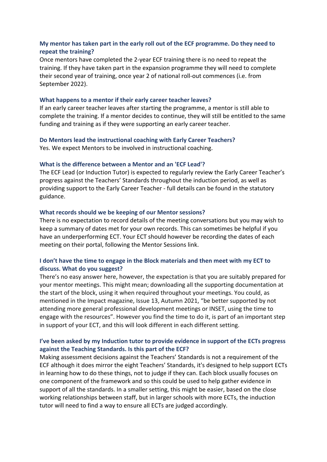# **My mentor has taken part in the early roll out of the ECF programme. Do they need to repeat the training?**

Once mentors have completed the 2-year ECF training there is no need to repeat the training. If they have taken part in the expansion programme they will need to complete their second year of training, once year 2 of national roll-out commences (i.e. from September 2022).

#### **What happens to a mentor if their early career teacher leaves?**

If an early career teacher leaves after starting the programme, a mentor is still able to complete the training. If a mentor decides to continue, they will still be entitled to the same funding and training as if they were supporting an early career teacher.

#### **Do Mentors lead the instructional coaching with Early Career Teachers?**

Yes. We expect Mentors to be involved in instructional coaching.

#### **What is the difference between a Mentor and an 'ECF Lead'?**

The ECF Lead (or Induction Tutor) is expected to regularly review the Early Career Teacher's progress against the Teachers' Standards throughout the induction period, as well as providing support to the Early Career Teacher - full details can be found in the statutory guidance.

#### **What records should we be keeping of our Mentor sessions?**

There is no expectation to record details of the meeting conversations but you may wish to keep a summary of dates met for your own records. This can sometimes be helpful if you have an underperforming ECT. Your ECT should however be recording the dates of each meeting on their portal, following the Mentor Sessions link.

# **I don't have the time to engage in the Block materials and then meet with my ECT to discuss. What do you suggest?**

There's no easy answer here, however, the expectation is that you are suitably prepared for your mentor meetings. This might mean; downloading all the supporting documentation at the start of the block, using it when required throughout your meetings. You could, as mentioned in the Impact magazine, Issue 13, Autumn 2021, "be better supported by not attending more general professional development meetings or INSET, using the time to engage with the resources". However you find the time to do it, is part of an important step in support of your ECT, and this will look different in each different setting.

# **I've been asked by my Induction tutor to provide evidence in support of the ECTs progress against the Teaching Standards. Is this part of the ECF?**

Making assessment decisions against the Teachers' Standards is not a requirement of the ECF although it does mirror the eight Teachers' Standards, it's designed to help support ECTs in learning how to do these things, not to judge if they can. Each block usually focuses on one component of the framework and so this could be used to help gather evidence in support of all the standards. In a smaller setting, this might be easier, based on the close working relationships between staff, but in larger schools with more ECTs, the induction tutor will need to find a way to ensure all ECTs are judged accordingly.